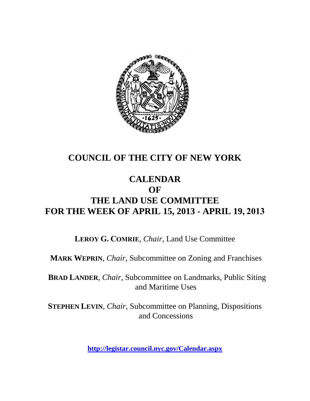

# **COUNCIL OF THE CITY OF NEW YORK**

# **CALENDAR OF THE LAND USE COMMITTEE FOR THE WEEK OF APRIL 15, 2013 - APRIL 19, 2013**

**LEROY G. COMRIE**, *Chair*, Land Use Committee

**MARK WEPRIN**, *Chair*, Subcommittee on Zoning and Franchises

**BRAD LANDER**, *Chair*, Subcommittee on Landmarks, Public Siting and Maritime Uses

**STEPHEN LEVIN**, *Chair,* Subcommittee on Planning, Dispositions and Concessions

**<http://legistar.council.nyc.gov/Calendar.aspx>**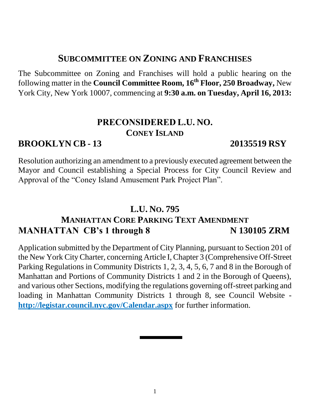# **SUBCOMMITTEE ON ZONING AND FRANCHISES**

The Subcommittee on Zoning and Franchises will hold a public hearing on the following matter in the **Council Committee Room, 16th Floor, 250 Broadway,** New York City, New York 10007, commencing at **9:30 a.m. on Tuesday, April 16, 2013:**

# **PRECONSIDERED L.U. NO. CONEY ISLAND**

## **BROOKLYN CB - 13 20135519 RSY**

Resolution authorizing an amendment to a previously executed agreement between the Mayor and Council establishing a Special Process for City Council Review and Approval of the "Coney Island Amusement Park Project Plan".

## **L.U. NO. 795**

# **MANHATTAN CORE PARKING TEXT AMENDMENT MANHATTAN CB's 1 through 8 N 130105 ZRM**

Application submitted by the Department of City Planning, pursuant to Section 201 of the New York City Charter, concerning Article I, Chapter 3 (Comprehensive Off-Street Parking Regulations in Community Districts 1, 2, 3, 4, 5, 6, 7 and 8 in the Borough of Manhattan and Portions of Community Districts 1 and 2 in the Borough of Queens), and various other Sections, modifying the regulations governing off-street parking and loading in Manhattan Community Districts 1 through 8, see Council Website **<http://legistar.council.nyc.gov/Calendar.aspx>** for further information.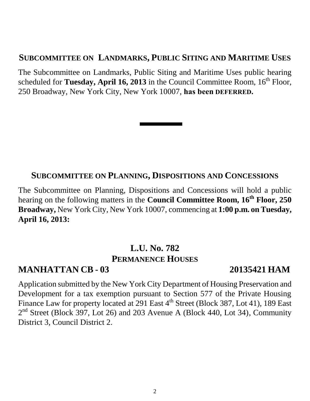### **SUBCOMMITTEE ON LANDMARKS, PUBLIC SITING AND MARITIME USES**

The Subcommittee on Landmarks, Public Siting and Maritime Uses public hearing scheduled for **Tuesday, April 16, 2013** in the Council Committee Room, 16<sup>th</sup> Floor, 250 Broadway, New York City, New York 10007, **has been DEFERRED.**

### **SUBCOMMITTEE ON PLANNING, DISPOSITIONS AND CONCESSIONS**

The Subcommittee on Planning, Dispositions and Concessions will hold a public hearing on the following matters in the **Council Committee Room, 16th Floor, 250 Broadway,** New York City, New York 10007, commencing at **1:00 p.m. on Tuesday, April 16, 2013:**

# **L.U. No. 782 PERMANENCE HOUSES**

## **MANHATTAN CB - 03 20135421 HAM**

Application submitted by the New York City Department of Housing Preservation and Development for a tax exemption pursuant to Section 577 of the Private Housing Finance Law for property located at 291 East 4<sup>th</sup> Street (Block 387, Lot 41), 189 East 2<sup>nd</sup> Street (Block 397, Lot 26) and 203 Avenue A (Block 440, Lot 34), Community District 3, Council District 2.